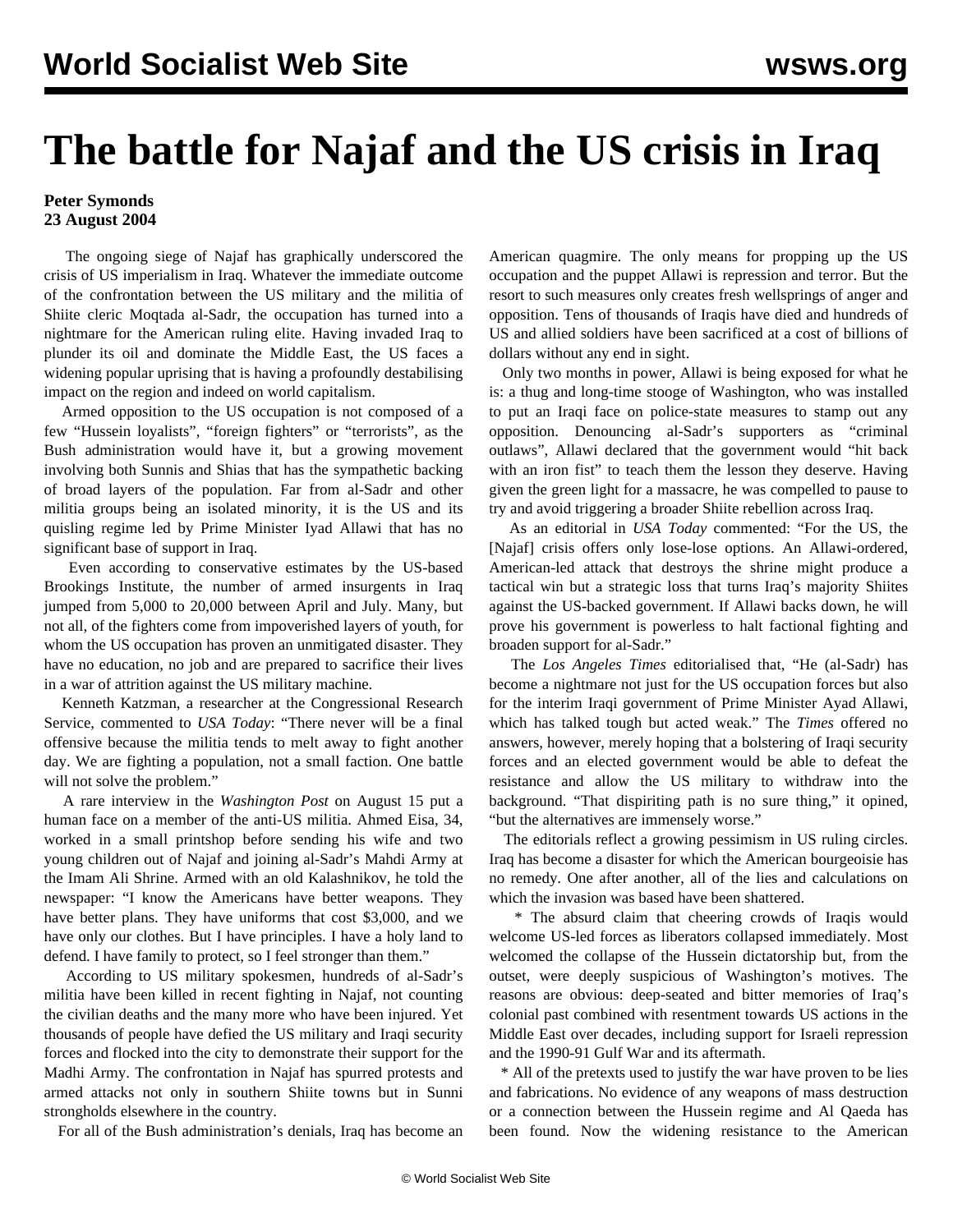## **The battle for Najaf and the US crisis in Iraq**

## **Peter Symonds 23 August 2004**

 The ongoing siege of Najaf has graphically underscored the crisis of US imperialism in Iraq. Whatever the immediate outcome of the confrontation between the US military and the militia of Shiite cleric Moqtada al-Sadr, the occupation has turned into a nightmare for the American ruling elite. Having invaded Iraq to plunder its oil and dominate the Middle East, the US faces a widening popular uprising that is having a profoundly destabilising impact on the region and indeed on world capitalism.

 Armed opposition to the US occupation is not composed of a few "Hussein loyalists", "foreign fighters" or "terrorists", as the Bush administration would have it, but a growing movement involving both Sunnis and Shias that has the sympathetic backing of broad layers of the population. Far from al-Sadr and other militia groups being an isolated minority, it is the US and its quisling regime led by Prime Minister Iyad Allawi that has no significant base of support in Iraq.

 Even according to conservative estimates by the US-based Brookings Institute, the number of armed insurgents in Iraq jumped from 5,000 to 20,000 between April and July. Many, but not all, of the fighters come from impoverished layers of youth, for whom the US occupation has proven an unmitigated disaster. They have no education, no job and are prepared to sacrifice their lives in a war of attrition against the US military machine.

 Kenneth Katzman, a researcher at the Congressional Research Service, commented to *USA Today*: "There never will be a final offensive because the militia tends to melt away to fight another day. We are fighting a population, not a small faction. One battle will not solve the problem."

 A rare interview in the *Washington Post* on August 15 put a human face on a member of the anti-US militia. Ahmed Eisa, 34, worked in a small printshop before sending his wife and two young children out of Najaf and joining al-Sadr's Mahdi Army at the Imam Ali Shrine. Armed with an old Kalashnikov, he told the newspaper: "I know the Americans have better weapons. They have better plans. They have uniforms that cost \$3,000, and we have only our clothes. But I have principles. I have a holy land to defend. I have family to protect, so I feel stronger than them."

 According to US military spokesmen, hundreds of al-Sadr's militia have been killed in recent fighting in Najaf, not counting the civilian deaths and the many more who have been injured. Yet thousands of people have defied the US military and Iraqi security forces and flocked into the city to demonstrate their support for the Madhi Army. The confrontation in Najaf has spurred protests and armed attacks not only in southern Shiite towns but in Sunni strongholds elsewhere in the country.

For all of the Bush administration's denials, Iraq has become an

American quagmire. The only means for propping up the US occupation and the puppet Allawi is repression and terror. But the resort to such measures only creates fresh wellsprings of anger and opposition. Tens of thousands of Iraqis have died and hundreds of US and allied soldiers have been sacrificed at a cost of billions of dollars without any end in sight.

 Only two months in power, Allawi is being exposed for what he is: a thug and long-time stooge of Washington, who was installed to put an Iraqi face on police-state measures to stamp out any opposition. Denouncing al-Sadr's supporters as "criminal outlaws", Allawi declared that the government would "hit back with an iron fist" to teach them the lesson they deserve. Having given the green light for a massacre, he was compelled to pause to try and avoid triggering a broader Shiite rebellion across Iraq.

 As an editorial in *USA Today* commented: "For the US, the [Najaf] crisis offers only lose-lose options. An Allawi-ordered, American-led attack that destroys the shrine might produce a tactical win but a strategic loss that turns Iraq's majority Shiites against the US-backed government. If Allawi backs down, he will prove his government is powerless to halt factional fighting and broaden support for al-Sadr."

 The *Los Angeles Times* editorialised that, "He (al-Sadr) has become a nightmare not just for the US occupation forces but also for the interim Iraqi government of Prime Minister Ayad Allawi, which has talked tough but acted weak." The *Times* offered no answers, however, merely hoping that a bolstering of Iraqi security forces and an elected government would be able to defeat the resistance and allow the US military to withdraw into the background. "That dispiriting path is no sure thing," it opined, "but the alternatives are immensely worse."

 The editorials reflect a growing pessimism in US ruling circles. Iraq has become a disaster for which the American bourgeoisie has no remedy. One after another, all of the lies and calculations on which the invasion was based have been shattered.

 \* The absurd claim that cheering crowds of Iraqis would welcome US-led forces as liberators collapsed immediately. Most welcomed the collapse of the Hussein dictatorship but, from the outset, were deeply suspicious of Washington's motives. The reasons are obvious: deep-seated and bitter memories of Iraq's colonial past combined with resentment towards US actions in the Middle East over decades, including support for Israeli repression and the 1990-91 Gulf War and its aftermath.

 \* All of the pretexts used to justify the war have proven to be lies and fabrications. No evidence of any weapons of mass destruction or a connection between the Hussein regime and Al Qaeda has been found. Now the widening resistance to the American